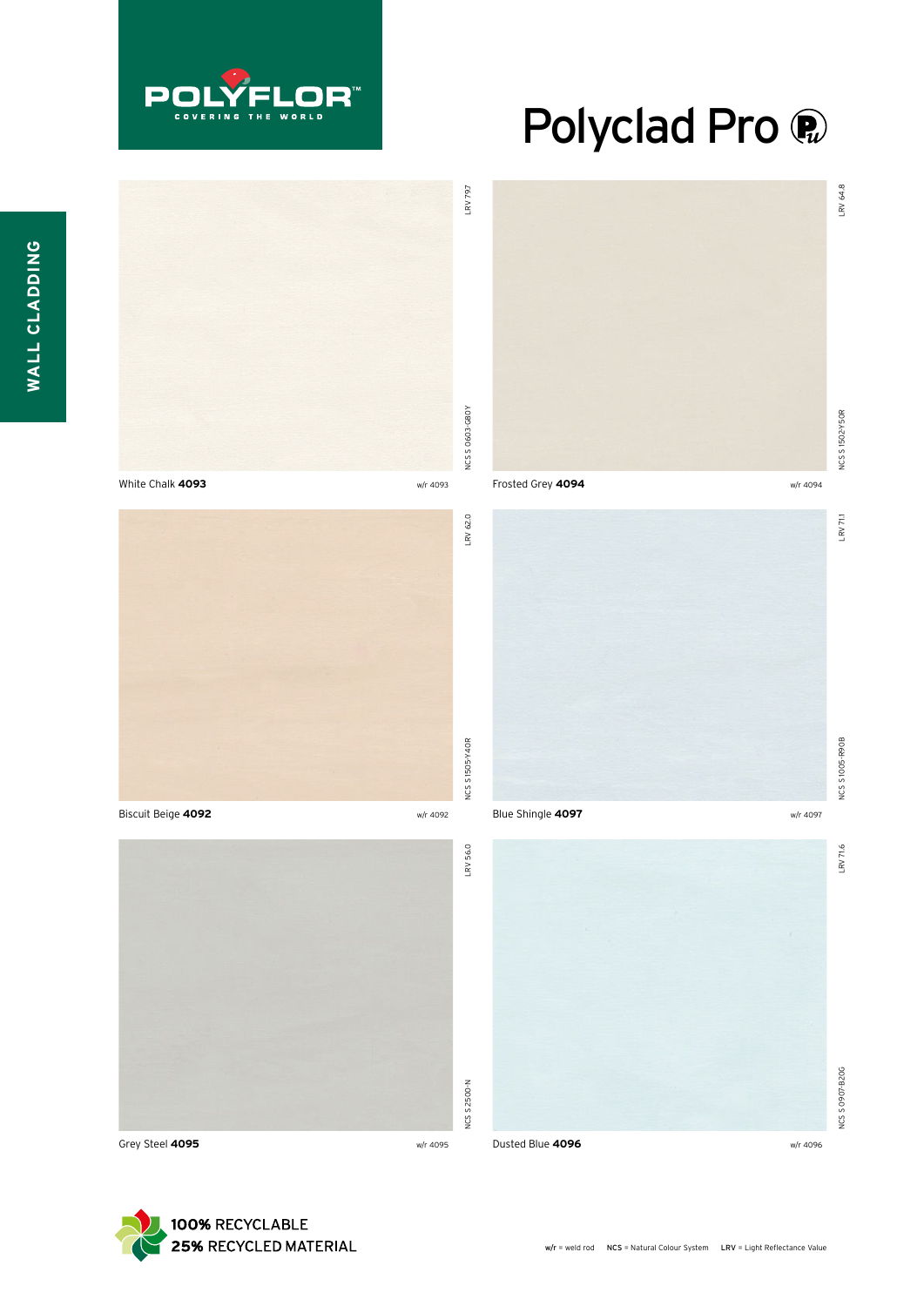

## Polyclad Pro ®



Grey Steel **4095** w/r 4095

Dusted Blue **4096** w/r 4096